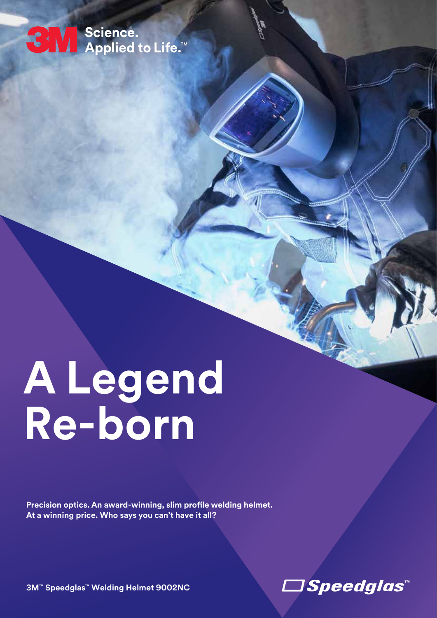## ← Science.<br>← Applied to Life.™

# **A Legend Re-born**

**Precision optics. An award-winning, slim profle welding helmet. At a winning price. Who says you can't have it all?**

**3M™ Speedglas™ Welding Helmet 9002NC**

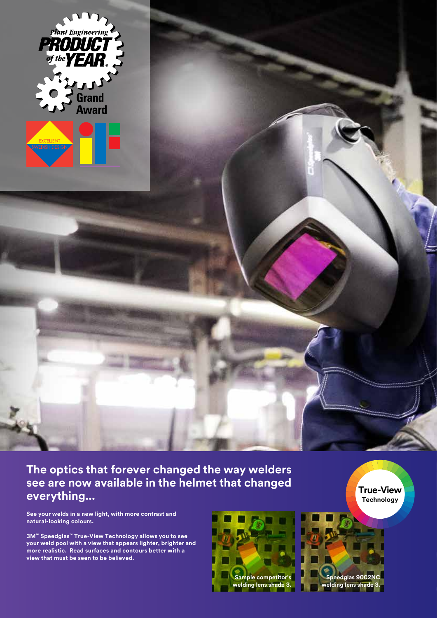

**The optics that forever changed the way welders see are now available in the helmet that changed everything...** 

**See your welds in a new light, with more contrast and natural-looking colours.** 

**3M™ Speedglas™ True-View Technology allows you to see your weld pool with a view that appears lighter, brighter and more realistic. Read surfaces and contours better with a view that must be seen to be believed.** 





**True-View Technology**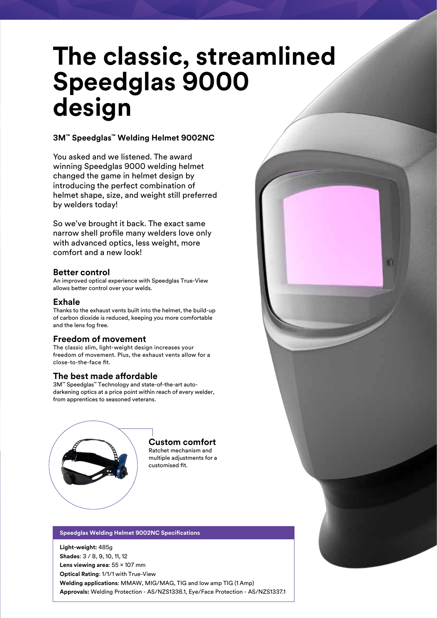## **The classic, streamlined Speedglas 9000 design**

#### **3M™ Speedglas™ Welding Helmet 9002NC**

You asked and we listened. The award winning Speedglas 9000 welding helmet changed the game in helmet design by introducing the perfect combination of helmet shape, size, and weight still preferred by welders today!

So we've brought it back. The exact same narrow shell profle many welders love only with advanced optics, less weight, more comfort and a new look!

#### **Better control**

An improved optical experience with Speedglas True-View allows better control over your welds.

#### **Exhale**

Thanks to the exhaust vents built into the helmet, the build-up of carbon dioxide is reduced, keeping you more comfortable and the lens fog free.

#### **Freedom of movement**

The classic slim, light-weight design increases your freedom of movement. Plus, the exhaust vents allow for a close-to-the-face fit.

#### **The best made afordable**

3M™ Speedglas™ Technology and state-of-the-art autodarkening optics at a price point within reach of every welder, from apprentices to seasoned veterans.



#### **Custom comfort**

Ratchet mechanism and multiple adjustments for a customised fit.

#### **Speedglas Welding Helmet 9002NC Specifcations**

**Light-weight:** 485g **Shades**: 3 / 8, 9, 10, 11, 12 Lens viewing area: 55 × 107 mm **Optical Rating**: 1/1/1 with True-View **Welding applications**: MMAW, MIG/MAG, TIG and low amp TIG (1 Amp) **Approvals:** Welding Protection - AS/NZS1338.1, Eye/Face Protection - AS/NZS1337.1